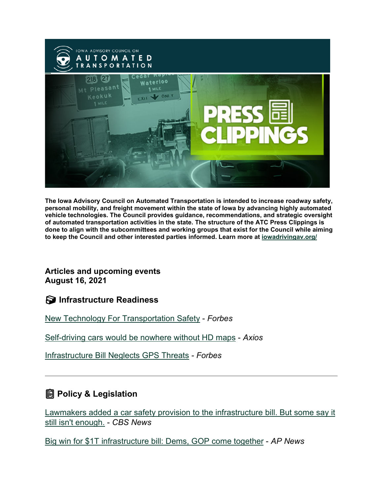

**The Iowa Advisory Council on Automated Transportation is intended to increase roadway safety, personal mobility, and freight movement within the state of Iowa by advancing highly automated vehicle technologies. The Council provides guidance, recommendations, and strategic oversight of automated transportation activities in the state. The structure of the ATC Press Clippings is done to align with the subcommittees and working groups that exist for the Council while aiming to keep the Council and other interested parties informed. Learn more at [iowadrivingav.org/](https://iowadrivingav.org/?utm_medium=email&utm_source=govdelivery)**

#### **Articles and upcoming events August 16, 2021**

**S** Infrastructure Readiness

[New Technology For Transportation Safety](https://www.forbes.com/sites/dianafurchtgott-roth/2021/07/31/new-technology-for-transportation-safety/?sh=2f489bea5053&utm_medium=email&utm_source=govdelivery) - *Forbes*

[Self-driving cars would be nowhere without HD maps](https://www.axios.com/self-driving-cars-digital-maps-a1eced04-e36a-4f11-877a-766beef1bce4.html?utm_medium=email&utm_source=govdelivery) - *Axios*

[Infrastructure Bill Neglects GPS Threats](https://www.forbes.com/sites/dianafurchtgott-roth/2021/08/10/infrastructure-bill-neglects-gps-threats/?sh=d313d6d23ada&utm_medium=email&utm_source=govdelivery) *- Forbes*

## **Policy & Legislation**

[Lawmakers added a car safety provision to the infrastructure bill. But](https://www.cbsnews.com/news/lawmakers-added-a-car-safety-provision-to-the-infrastructure-bill-but-some-say-it-still-isnt-enough/?utm_medium=email&utm_source=govdelivery) some say it [still isn't enough.](https://www.cbsnews.com/news/lawmakers-added-a-car-safety-provision-to-the-infrastructure-bill-but-some-say-it-still-isnt-enough/?utm_medium=email&utm_source=govdelivery) - *CBS News*

[Big win for \\$1T infrastructure bill: Dems, GOP come together](https://apnews.com/article/senate-infrastructure-bill-politics-joe-biden-a431f8c9f3f113b661cb3526512fc4e0?utm_medium=email&utm_source=govdelivery) - *AP News*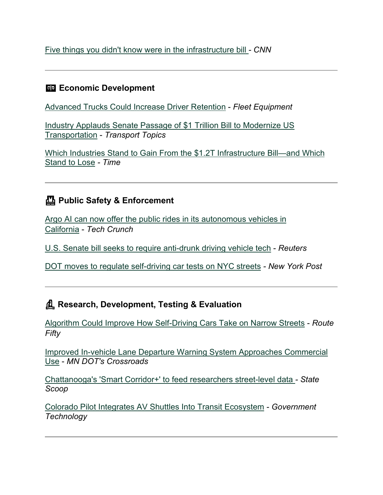[Five things you didn't know were in the infrastructure bill](https://www.cnn.com/2021/08/10/politics/five-surprising-items-in-the-infrastructure-bill/index.html?utm_medium=email&utm_source=govdelivery) *- CNN*

#### **ED Economic Development**

[Advanced Trucks Could Increase Driver Retention](https://www.fleetequipmentmag.com/advanced-trucks-drive-retention/?utm_medium=email&utm_source=govdelivery) - *Fleet Equipment*

[Industry Applauds Senate Passage of \\$1 Trillion Bill to Modernize US](https://www.ttnews.com/articles/industry-applauds-passage-1-trillion-bill-modernize-us-transportation?utm_medium=email&utm_source=govdelivery)  [Transportation](https://www.ttnews.com/articles/industry-applauds-passage-1-trillion-bill-modernize-us-transportation?utm_medium=email&utm_source=govdelivery) - *Transport Topics*

[Which Industries Stand to Gain From the \\$1.2T Infrastructure Bill—and Which](https://time.com/6089649/infrastructure-bill-industries-benefit/?utm_medium=email&utm_source=govdelivery)  [Stand to Lose](https://time.com/6089649/infrastructure-bill-industries-benefit/?utm_medium=email&utm_source=govdelivery) *- Time*

## **Public Safety & Enforcement**

[Argo AI can now offer the public rides in its autonomous vehicles in](https://techcrunch.com/2021/07/30/argo-ai-can-now-offer-the-public-rides-in-its-autonomous-vehicles-in-california/?utm_medium=email&utm_source=govdelivery)  [California](https://techcrunch.com/2021/07/30/argo-ai-can-now-offer-the-public-rides-in-its-autonomous-vehicles-in-california/?utm_medium=email&utm_source=govdelivery) - *Tech Crunch*

[U.S. Senate bill seeks to require anti-drunk driving vehicle tech](https://www.reuters.com/world/us/us-senate-bill-seeks-require-anti-drunk-driving-vehicle-tech-2021-08-02/?utm_medium=email&utm_source=govdelivery) - *Reuters*

[DOT moves to regulate self-driving car tests on NYC streets](https://nypost.com/2021/08/03/dot-moves-to-allow-self-driving-car-tests-on-nyc-streets/?utm_medium=email&utm_source=govdelivery) *- New York Post*

### **Research, Development, Testing & Evaluation**

[Algorithm Could Improve How Self-Driving Cars Take on Narrow Streets](https://www.route-fifty.com/tech-data/2021/07/algorithm-could-improve-how-self-driving-cars-take-narrow-streets/184169/?utm_medium=email&utm_source=govdelivery) - *Route Fifty*

[Improved In-vehicle Lane Departure Warning System Approaches Commercial](https://mntransportationresearch.org/2021/08/03/improved-in-vehicle-lane-departure-warning-system-approaches-commercial-use/?utm_medium=email&utm_source=govdelivery)  [Use](https://mntransportationresearch.org/2021/08/03/improved-in-vehicle-lane-departure-warning-system-approaches-commercial-use/?utm_medium=email&utm_source=govdelivery) - *MN DOT's Crossroads*

[Chattanooga's 'Smart Corridor+' to feed researchers street-level data](https://statescoop.com/chattanooga-stream-public-video-data-feeds-smart-corridor/?utm_medium=email&utm_source=govdelivery) *- State Scoop*

[Colorado Pilot Integrates AV Shuttles Into Transit Ecosystem](https://www.govtech.com/fs/colorado-pilot-integrates-av-shuttles-into-transit-ecosystem?utm_medium=email&utm_source=govdelivery) *- Government Technology*